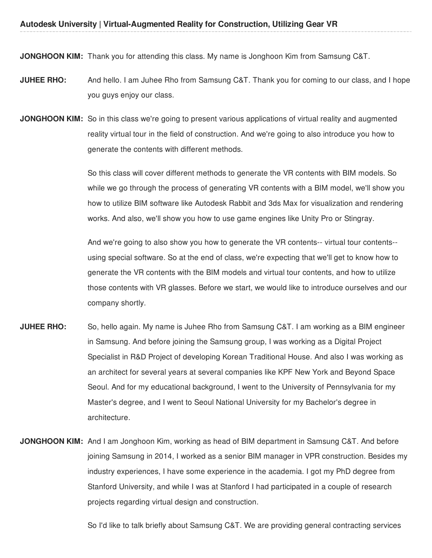**JONGHOON KIM:** Thank you for attending this class. My name is Jonghoon Kim from Samsung C&T.

- **JUHEE RHO:** And hello. I am Juhee Rho from Samsung C&T. Thank you for coming to our class, and I hope you guys enjoy our class.
- **JONGHOON KIM:** So in this class we're going to present various applications of virtual reality and augmented reality virtual tour in the field of construction. And we're going to also introduce you how to generate the contents with different methods.

So this class will cover different methods to generate the VR contents with BIM models. So while we go through the process of generating VR contents with a BIM model, we'll show you how to utilize BIM software like Autodesk Rabbit and 3ds Max for visualization and rendering works. And also, we'll show you how to use game engines like Unity Pro or Stingray.

And we're going to also show you how to generate the VR contents-- virtual tour contents- using special software. So at the end of class, we're expecting that we'll get to know how to generate the VR contents with the BIM models and virtual tour contents, and how to utilize those contents with VR glasses. Before we start, we would like to introduce ourselves and our company shortly.

- **JUHEE RHO:** So, hello again. My name is Juhee Rho from Samsung C&T. I am working as a BIM engineer in Samsung. And before joining the Samsung group, I was working as a Digital Project Specialist in R&D Project of developing Korean Traditional House. And also I was working as an architect for several years at several companies like KPF New York and Beyond Space Seoul. And for my educational background, I went to the University of Pennsylvania for my Master's degree, and I went to Seoul National University for my Bachelor's degree in architecture.
- **JONGHOON KIM:** And I am Jonghoon Kim, working as head of BIM department in Samsung C&T. And before joining Samsung in 2014, I worked as a senior BIM manager in VPR construction. Besides my industry experiences, I have some experience in the academia. I got my PhD degree from Stanford University, and while I was at Stanford I had participated in a couple of research projects regarding virtual design and construction.

So I'd like to talk briefly about Samsung C&T. We are providing general contracting services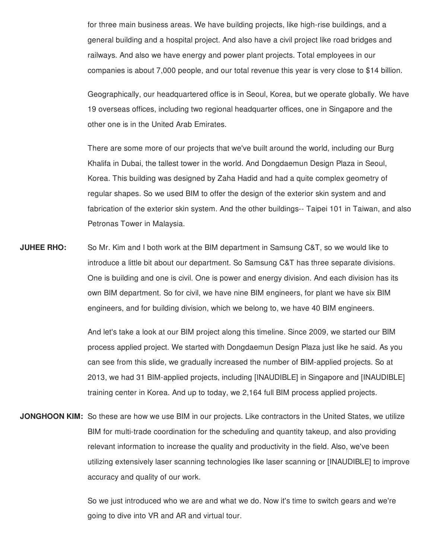for three main business areas. We have building projects, like high-rise buildings, and a general building and a hospital project. And also have a civil project like road bridges and railways. And also we have energy and power plant projects. Total employees in our companies is about 7,000 people, and our total revenue this year is very close to \$14 billion.

Geographically, our headquartered office is in Seoul, Korea, but we operate globally. We have 19 overseas offices, including two regional headquarter offices, one in Singapore and the other one is in the United Arab Emirates.

There are some more of our projects that we've built around the world, including our Burg Khalifa in Dubai, the tallest tower in the world. And Dongdaemun Design Plaza in Seoul, Korea. This building was designed by Zaha Hadid and had a quite complex geometry of regular shapes. So we used BIM to offer the design of the exterior skin system and and fabrication of the exterior skin system. And the other buildings-- Taipei 101 in Taiwan, and also Petronas Tower in Malaysia.

**JUHEE RHO:** So Mr. Kim and I both work at the BIM department in Samsung C&T, so we would like to introduce a little bit about our department. So Samsung C&T has three separate divisions. One is building and one is civil. One is power and energy division. And each division has its own BIM department. So for civil, we have nine BIM engineers, for plant we have six BIM engineers, and for building division, which we belong to, we have 40 BIM engineers.

> And let's take a look at our BIM project along this timeline. Since 2009, we started our BIM process applied project. We started with Dongdaemun Design Plaza just like he said. As you can see from this slide, we gradually increased the number of BIM-applied projects. So at 2013, we had 31 BIM-applied projects, including [INAUDIBLE] in Singapore and [INAUDIBLE] training center in Korea. And up to today, we 2,164 full BIM process applied projects.

**JONGHOON KIM:** So these are how we use BIM in our projects. Like contractors in the United States, we utilize BIM for multi-trade coordination for the scheduling and quantity takeup, and also providing relevant information to increase the quality and productivity in the field. Also, we've been utilizing extensively laser scanning technologies like laser scanning or [INAUDIBLE] to improve accuracy and quality of our work.

> So we just introduced who we are and what we do. Now it's time to switch gears and we're going to dive into VR and AR and virtual tour.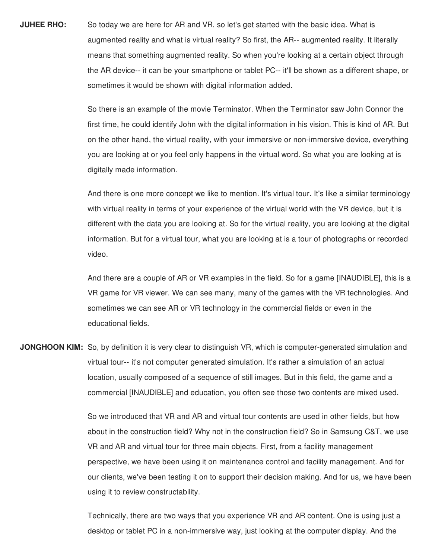**JUHEE RHO:** So today we are here for AR and VR, so let's get started with the basic idea. What is augmented reality and what is virtual reality? So first, the AR-- augmented reality. It literally means that something augmented reality. So when you're looking at a certain object through the AR device-- it can be your smartphone or tablet PC-- it'll be shown as a different shape, or sometimes it would be shown with digital information added.

> So there is an example of the movie Terminator. When the Terminator saw John Connor the first time, he could identify John with the digital information in his vision. This is kind of AR. But on the other hand, the virtual reality, with your immersive or non-immersive device, everything you are looking at or you feel only happens in the virtual word. So what you are looking at is digitally made information.

> And there is one more concept we like to mention. It's virtual tour. It's like a similar terminology with virtual reality in terms of your experience of the virtual world with the VR device, but it is different with the data you are looking at. So for the virtual reality, you are looking at the digital information. But for a virtual tour, what you are looking at is a tour of photographs or recorded video.

> And there are a couple of AR or VR examples in the field. So for a game [INAUDIBLE], this is a VR game for VR viewer. We can see many, many of the games with the VR technologies. And sometimes we can see AR or VR technology in the commercial fields or even in the educational fields.

**JONGHOON KIM:** So, by definition it is very clear to distinguish VR, which is computer-generated simulation and virtual tour-- it's not computer generated simulation. It's rather a simulation of an actual location, usually composed of a sequence of still images. But in this field, the game and a commercial [INAUDIBLE] and education, you often see those two contents are mixed used.

> So we introduced that VR and AR and virtual tour contents are used in other fields, but how about in the construction field? Why not in the construction field? So in Samsung C&T, we use VR and AR and virtual tour for three main objects. First, from a facility management perspective, we have been using it on maintenance control and facility management. And for our clients, we've been testing it on to support their decision making. And for us, we have been using it to review constructability.

Technically, there are two ways that you experience VR and AR content. One is using just a desktop or tablet PC in a non-immersive way, just looking at the computer display. And the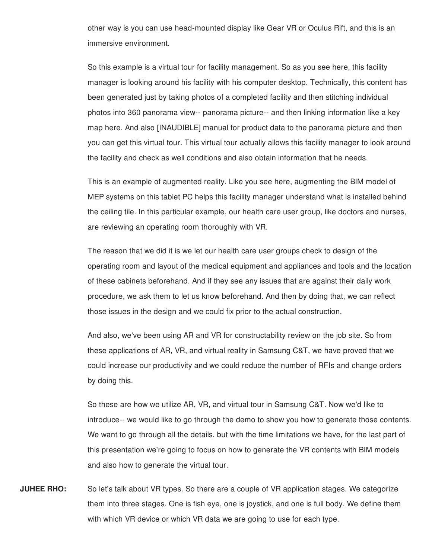other way is you can use head-mounted display like Gear VR or Oculus Rift, and this is an immersive environment.

So this example is a virtual tour for facility management. So as you see here, this facility manager is looking around his facility with his computer desktop. Technically, this content has been generated just by taking photos of a completed facility and then stitching individual photos into 360 panorama view-- panorama picture-- and then linking information like a key map here. And also [INAUDIBLE] manual for product data to the panorama picture and then you can get this virtual tour. This virtual tour actually allows this facility manager to look around the facility and check as well conditions and also obtain information that he needs.

This is an example of augmented reality. Like you see here, augmenting the BIM model of MEP systems on this tablet PC helps this facility manager understand what is installed behind the ceiling tile. In this particular example, our health care user group, like doctors and nurses, are reviewing an operating room thoroughly with VR.

The reason that we did it is we let our health care user groups check to design of the operating room and layout of the medical equipment and appliances and tools and the location of these cabinets beforehand. And if they see any issues that are against their daily work procedure, we ask them to let us know beforehand. And then by doing that, we can reflect those issues in the design and we could fix prior to the actual construction.

And also, we've been using AR and VR for constructability review on the job site. So from these applications of AR, VR, and virtual reality in Samsung C&T, we have proved that we could increase our productivity and we could reduce the number of RFIs and change orders by doing this.

So these are how we utilize AR, VR, and virtual tour in Samsung C&T. Now we'd like to introduce-- we would like to go through the demo to show you how to generate those contents. We want to go through all the details, but with the time limitations we have, for the last part of this presentation we're going to focus on how to generate the VR contents with BIM models and also how to generate the virtual tour.

**JUHEE RHO:** So let's talk about VR types. So there are a couple of VR application stages. We categorize them into three stages. One is fish eye, one is joystick, and one is full body. We define them with which VR device or which VR data we are going to use for each type.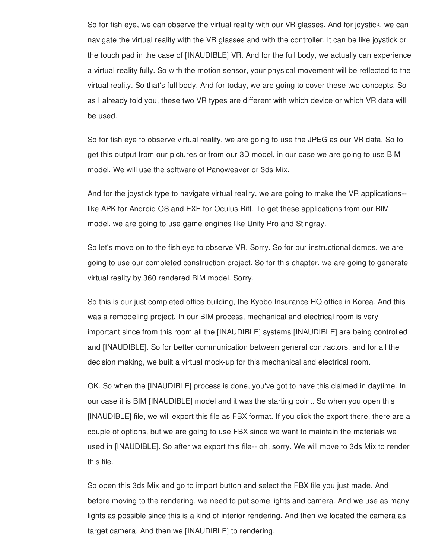So for fish eye, we can observe the virtual reality with our VR glasses. And for joystick, we can navigate the virtual reality with the VR glasses and with the controller. It can be like joystick or the touch pad in the case of [INAUDIBLE] VR. And for the full body, we actually can experience a virtual reality fully. So with the motion sensor, your physical movement will be reflected to the virtual reality. So that's full body. And for today, we are going to cover these two concepts. So as I already told you, these two VR types are different with which device or which VR data will be used.

So for fish eye to observe virtual reality, we are going to use the JPEG as our VR data. So to get this output from our pictures or from our 3D model, in our case we are going to use BIM model. We will use the software of Panoweaver or 3ds Mix.

And for the joystick type to navigate virtual reality, we are going to make the VR applications- like APK for Android OS and EXE for Oculus Rift. To get these applications from our BIM model, we are going to use game engines like Unity Pro and Stingray.

So let's move on to the fish eye to observe VR. Sorry. So for our instructional demos, we are going to use our completed construction project. So for this chapter, we are going to generate virtual reality by 360 rendered BIM model. Sorry.

So this is our just completed office building, the Kyobo Insurance HQ office in Korea. And this was a remodeling project. In our BIM process, mechanical and electrical room is very important since from this room all the [INAUDIBLE] systems [INAUDIBLE] are being controlled and [INAUDIBLE]. So for better communication between general contractors, and for all the decision making, we built a virtual mock-up for this mechanical and electrical room.

OK. So when the [INAUDIBLE] process is done, you've got to have this claimed in daytime. In our case it is BIM [INAUDIBLE] model and it was the starting point. So when you open this [INAUDIBLE] file, we will export this file as FBX format. If you click the export there, there are a couple of options, but we are going to use FBX since we want to maintain the materials we used in [INAUDIBLE]. So after we export this file-- oh, sorry. We will move to 3ds Mix to render this file.

So open this 3ds Mix and go to import button and select the FBX file you just made. And before moving to the rendering, we need to put some lights and camera. And we use as many lights as possible since this is a kind of interior rendering. And then we located the camera as target camera. And then we [INAUDIBLE] to rendering.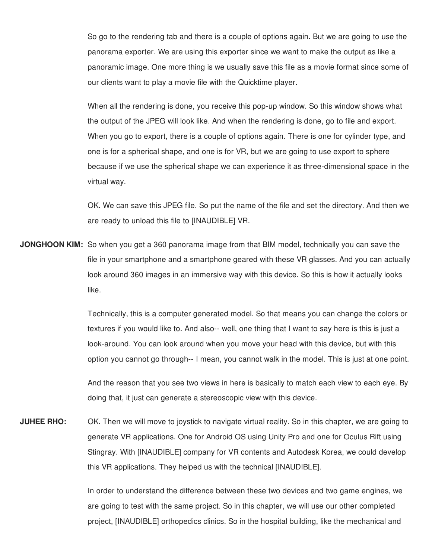So go to the rendering tab and there is a couple of options again. But we are going to use the panorama exporter. We are using this exporter since we want to make the output as like a panoramic image. One more thing is we usually save this file as a movie format since some of our clients want to play a movie file with the Quicktime player.

When all the rendering is done, you receive this pop-up window. So this window shows what the output of the JPEG will look like. And when the rendering is done, go to file and export. When you go to export, there is a couple of options again. There is one for cylinder type, and one is for a spherical shape, and one is for VR, but we are going to use export to sphere because if we use the spherical shape we can experience it as three-dimensional space in the virtual way.

OK. We can save this JPEG file. So put the name of the file and set the directory. And then we are ready to unload this file to [INAUDIBLE] VR.

**JONGHOON KIM:** So when you get a 360 panorama image from that BIM model, technically you can save the file in your smartphone and a smartphone geared with these VR glasses. And you can actually look around 360 images in an immersive way with this device. So this is how it actually looks like.

> Technically, this is a computer generated model. So that means you can change the colors or textures if you would like to. And also-- well, one thing that I want to say here is this is just a look-around. You can look around when you move your head with this device, but with this option you cannot go through-- I mean, you cannot walk in the model. This is just at one point.

> And the reason that you see two views in here is basically to match each view to each eye. By doing that, it just can generate a stereoscopic view with this device.

**JUHEE RHO:** OK. Then we will move to joystick to navigate virtual reality. So in this chapter, we are going to generate VR applications. One for Android OS using Unity Pro and one for Oculus Rift using Stingray. With [INAUDIBLE] company for VR contents and Autodesk Korea, we could develop this VR applications. They helped us with the technical [INAUDIBLE].

> In order to understand the difference between these two devices and two game engines, we are going to test with the same project. So in this chapter, we will use our other completed project, [INAUDIBLE] orthopedics clinics. So in the hospital building, like the mechanical and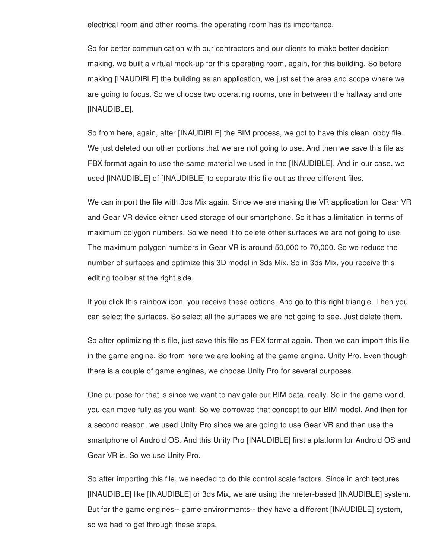electrical room and other rooms, the operating room has its importance.

So for better communication with our contractors and our clients to make better decision making, we built a virtual mock-up for this operating room, again, for this building. So before making [INAUDIBLE] the building as an application, we just set the area and scope where we are going to focus. So we choose two operating rooms, one in between the hallway and one [INAUDIBLE].

So from here, again, after [INAUDIBLE] the BIM process, we got to have this clean lobby file. We just deleted our other portions that we are not going to use. And then we save this file as FBX format again to use the same material we used in the [INAUDIBLE]. And in our case, we used [INAUDIBLE] of [INAUDIBLE] to separate this file out as three different files.

We can import the file with 3ds Mix again. Since we are making the VR application for Gear VR and Gear VR device either used storage of our smartphone. So it has a limitation in terms of maximum polygon numbers. So we need it to delete other surfaces we are not going to use. The maximum polygon numbers in Gear VR is around 50,000 to 70,000. So we reduce the number of surfaces and optimize this 3D model in 3ds Mix. So in 3ds Mix, you receive this editing toolbar at the right side.

If you click this rainbow icon, you receive these options. And go to this right triangle. Then you can select the surfaces. So select all the surfaces we are not going to see. Just delete them.

So after optimizing this file, just save this file as FEX format again. Then we can import this file in the game engine. So from here we are looking at the game engine, Unity Pro. Even though there is a couple of game engines, we choose Unity Pro for several purposes.

One purpose for that is since we want to navigate our BIM data, really. So in the game world, you can move fully as you want. So we borrowed that concept to our BIM model. And then for a second reason, we used Unity Pro since we are going to use Gear VR and then use the smartphone of Android OS. And this Unity Pro [INAUDIBLE] first a platform for Android OS and Gear VR is. So we use Unity Pro.

So after importing this file, we needed to do this control scale factors. Since in architectures [INAUDIBLE] like [INAUDIBLE] or 3ds Mix, we are using the meter-based [INAUDIBLE] system. But for the game engines-- game environments-- they have a different [INAUDIBLE] system, so we had to get through these steps.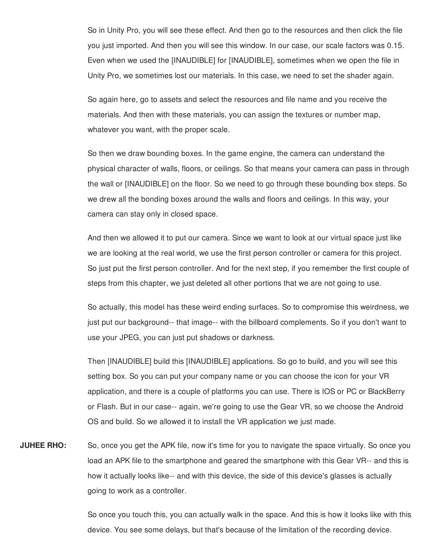So in Unity Pro, you will see these effect. And then go to the resources and then click the file you just imported. And then you will see this window. In our case, our scale factors was 0.15. Even when we used the [INAUDIBLE] for [INAUDIBLE], sometimes when we open the file in Unity Pro, we sometimes lost our materials. In this case, we need to set the shader again.

So again here, go to assets and select the resources and file name and you receive the materials. And then with these materials, you can assign the textures or number map, whatever you want, with the proper scale.

So then we draw bounding boxes. In the game engine, the camera can understand the physical character of walls, floors, or ceilings. So that means your camera can pass in through the wall or [INAUDIBLE] on the floor. So we need to go through these bounding box steps. So we drew all the bonding boxes around the walls and floors and ceilings. In this way, your camera can stay only in closed space.

And then we allowed it to put our camera. Since we want to look at our virtual space just like we are looking at the real world, we use the first person controller or camera for this project. So just put the first person controller. And for the next step, if you remember the first couple of steps from this chapter, we just deleted all other portions that we are not going to use.

So actually, this model has these weird ending surfaces. So to compromise this weirdness, we just put our background-- that image-- with the billboard complements. So if you don't want to use your JPEG, you can just put shadows or darkness.

Then [INAUDIBLE] build this [INAUDIBLE] applications. So go to build, and you will see this setting box. So you can put your company name or you can choose the icon for your VR application, and there is a couple of platforms you can use. There is IOS or PC or BlackBerry or Flash. But in our case-- again, we're going to use the Gear VR, so we choose the Android OS and build. So we allowed it to install the VR application we just made.

**JUHEE RHO:** So, once you get the APK file, now it's time for you to navigate the space virtually. So once you load an APK file to the smartphone and geared the smartphone with this Gear VR-- and this is how it actually looks like-- and with this device, the side of this device's glasses is actually going to work as a controller.

> So once you touch this, you can actually walk in the space. And this is how it looks like with this device. You see some delays, but that's because of the limitation of the recording device.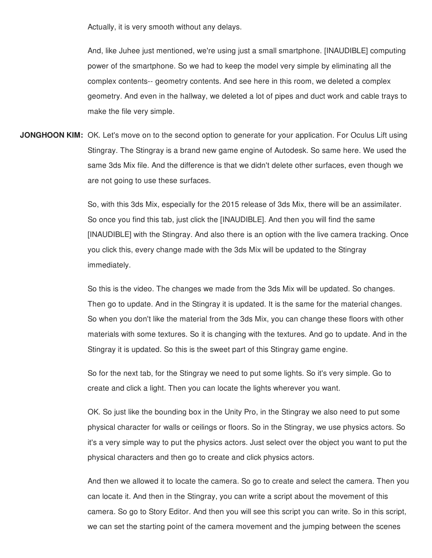Actually, it is very smooth without any delays.

And, like Juhee just mentioned, we're using just a small smartphone. [INAUDIBLE] computing power of the smartphone. So we had to keep the model very simple by eliminating all the complex contents-- geometry contents. And see here in this room, we deleted a complex geometry. And even in the hallway, we deleted a lot of pipes and duct work and cable trays to make the file very simple.

**JONGHOON KIM:** OK. Let's move on to the second option to generate for your application. For Oculus Lift using Stingray. The Stingray is a brand new game engine of Autodesk. So same here. We used the same 3ds Mix file. And the difference is that we didn't delete other surfaces, even though we are not going to use these surfaces.

> So, with this 3ds Mix, especially for the 2015 release of 3ds Mix, there will be an assimilater. So once you find this tab, just click the [INAUDIBLE]. And then you will find the same [INAUDIBLE] with the Stingray. And also there is an option with the live camera tracking. Once you click this, every change made with the 3ds Mix will be updated to the Stingray immediately.

> So this is the video. The changes we made from the 3ds Mix will be updated. So changes. Then go to update. And in the Stingray it is updated. It is the same for the material changes. So when you don't like the material from the 3ds Mix, you can change these floors with other materials with some textures. So it is changing with the textures. And go to update. And in the Stingray it is updated. So this is the sweet part of this Stingray game engine.

So for the next tab, for the Stingray we need to put some lights. So it's very simple. Go to create and click a light. Then you can locate the lights wherever you want.

OK. So just like the bounding box in the Unity Pro, in the Stingray we also need to put some physical character for walls or ceilings or floors. So in the Stingray, we use physics actors. So it's a very simple way to put the physics actors. Just select over the object you want to put the physical characters and then go to create and click physics actors.

And then we allowed it to locate the camera. So go to create and select the camera. Then you can locate it. And then in the Stingray, you can write a script about the movement of this camera. So go to Story Editor. And then you will see this script you can write. So in this script, we can set the starting point of the camera movement and the jumping between the scenes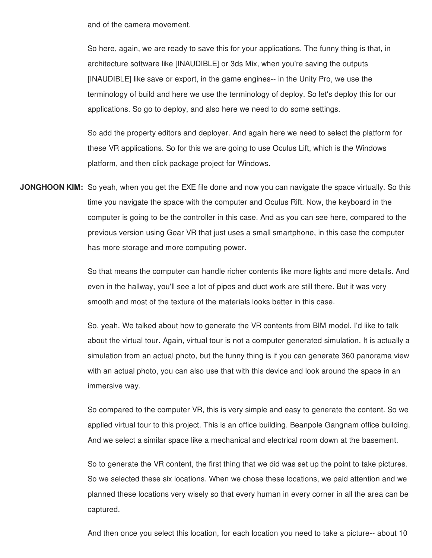and of the camera movement.

So here, again, we are ready to save this for your applications. The funny thing is that, in architecture software like [INAUDIBLE] or 3ds Mix, when you're saving the outputs [INAUDIBLE] like save or export, in the game engines-- in the Unity Pro, we use the terminology of build and here we use the terminology of deploy. So let's deploy this for our applications. So go to deploy, and also here we need to do some settings.

So add the property editors and deployer. And again here we need to select the platform for these VR applications. So for this we are going to use Oculus Lift, which is the Windows platform, and then click package project for Windows.

**JONGHOON KIM:** So yeah, when you get the EXE file done and now you can navigate the space virtually. So this time you navigate the space with the computer and Oculus Rift. Now, the keyboard in the computer is going to be the controller in this case. And as you can see here, compared to the previous version using Gear VR that just uses a small smartphone, in this case the computer has more storage and more computing power.

> So that means the computer can handle richer contents like more lights and more details. And even in the hallway, you'll see a lot of pipes and duct work are still there. But it was very smooth and most of the texture of the materials looks better in this case.

> So, yeah. We talked about how to generate the VR contents from BIM model. I'd like to talk about the virtual tour. Again, virtual tour is not a computer generated simulation. It is actually a simulation from an actual photo, but the funny thing is if you can generate 360 panorama view with an actual photo, you can also use that with this device and look around the space in an immersive way.

> So compared to the computer VR, this is very simple and easy to generate the content. So we applied virtual tour to this project. This is an office building. Beanpole Gangnam office building. And we select a similar space like a mechanical and electrical room down at the basement.

> So to generate the VR content, the first thing that we did was set up the point to take pictures. So we selected these six locations. When we chose these locations, we paid attention and we planned these locations very wisely so that every human in every corner in all the area can be captured.

> And then once you select this location, for each location you need to take a picture-- about 10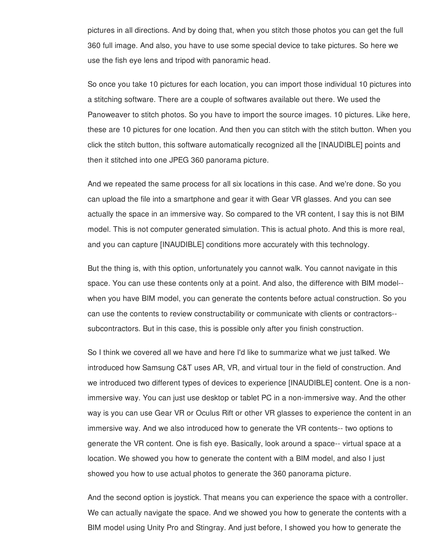pictures in all directions. And by doing that, when you stitch those photos you can get the full 360 full image. And also, you have to use some special device to take pictures. So here we use the fish eye lens and tripod with panoramic head.

So once you take 10 pictures for each location, you can import those individual 10 pictures into a stitching software. There are a couple of softwares available out there. We used the Panoweaver to stitch photos. So you have to import the source images. 10 pictures. Like here, these are 10 pictures for one location. And then you can stitch with the stitch button. When you click the stitch button, this software automatically recognized all the [INAUDIBLE] points and then it stitched into one JPEG 360 panorama picture.

And we repeated the same process for all six locations in this case. And we're done. So you can upload the file into a smartphone and gear it with Gear VR glasses. And you can see actually the space in an immersive way. So compared to the VR content, I say this is not BIM model. This is not computer generated simulation. This is actual photo. And this is more real, and you can capture [INAUDIBLE] conditions more accurately with this technology.

But the thing is, with this option, unfortunately you cannot walk. You cannot navigate in this space. You can use these contents only at a point. And also, the difference with BIM model- when you have BIM model, you can generate the contents before actual construction. So you can use the contents to review constructability or communicate with clients or contractors- subcontractors. But in this case, this is possible only after you finish construction.

So I think we covered all we have and here I'd like to summarize what we just talked. We introduced how Samsung C&T uses AR, VR, and virtual tour in the field of construction. And we introduced two different types of devices to experience [INAUDIBLE] content. One is a nonimmersive way. You can just use desktop or tablet PC in a non-immersive way. And the other way is you can use Gear VR or Oculus Rift or other VR glasses to experience the content in an immersive way. And we also introduced how to generate the VR contents-- two options to generate the VR content. One is fish eye. Basically, look around a space-- virtual space at a location. We showed you how to generate the content with a BIM model, and also I just showed you how to use actual photos to generate the 360 panorama picture.

And the second option is joystick. That means you can experience the space with a controller. We can actually navigate the space. And we showed you how to generate the contents with a BIM model using Unity Pro and Stingray. And just before, I showed you how to generate the